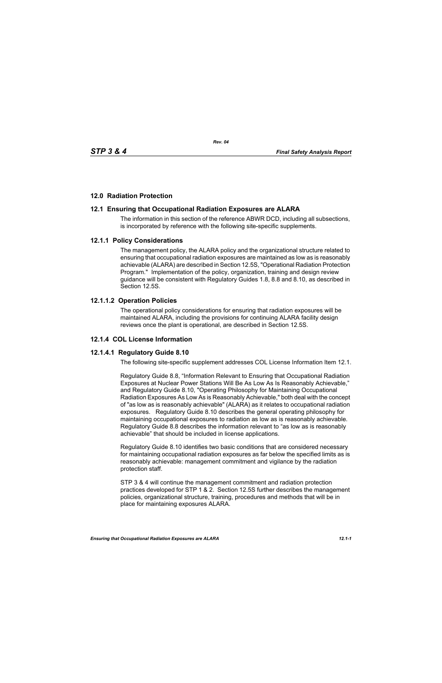# **12.0 Radiation Protection**

# **12.1 Ensuring that Occupational Radiation Exposures are ALARA**

The information in this section of the reference ABWR DCD, including all subsections, is incorporated by reference with the following site-specific supplements.

## **12.1.1 Policy Considerations**

The management policy, the ALARA policy and the organizational structure related to ensuring that occupational radiation exposures are maintained as low as is reasonably achievable (ALARA) are described in Section 12.5S, "Operational Radiation Protection Program." Implementation of the policy, organization, training and design review guidance will be consistent with Regulatory Guides 1.8, 8.8 and 8.10, as described in Section 12.5S.

# **12.1.1.2 Operation Policies**

The operational policy considerations for ensuring that radiation exposures will be maintained ALARA, including the provisions for continuing ALARA facility design reviews once the plant is operational, are described in Section 12.5S.

## **12.1.4 COL License Information**

## **12.1.4.1 Regulatory Guide 8.10**

The following site-specific supplement addresses COL License Information Item 12.1.

Regulatory Guide 8.8, "Information Relevant to Ensuring that Occupational Radiation Exposures at Nuclear Power Stations Will Be As Low As Is Reasonably Achievable," and Regulatory Guide 8.10, "Operating Philosophy for Maintaining Occupational Radiation Exposures As Low As is Reasonably Achievable," both deal with the concept of "as low as is reasonably achievable" (ALARA) as it relates to occupational radiation exposures. Regulatory Guide 8.10 describes the general operating philosophy for maintaining occupational exposures to radiation as low as is reasonably achievable. Regulatory Guide 8.8 describes the information relevant to "as low as is reasonably achievable" that should be included in license applications.

Regulatory Guide 8.10 identifies two basic conditions that are considered necessary for maintaining occupational radiation exposures as far below the specified limits as is reasonably achievable: management commitment and vigilance by the radiation protection staff.

STP 3 & 4 will continue the management commitment and radiation protection practices developed for STP 1 & 2. Section 12.5S further describes the management policies, organizational structure, training, procedures and methods that will be in place for maintaining exposures ALARA.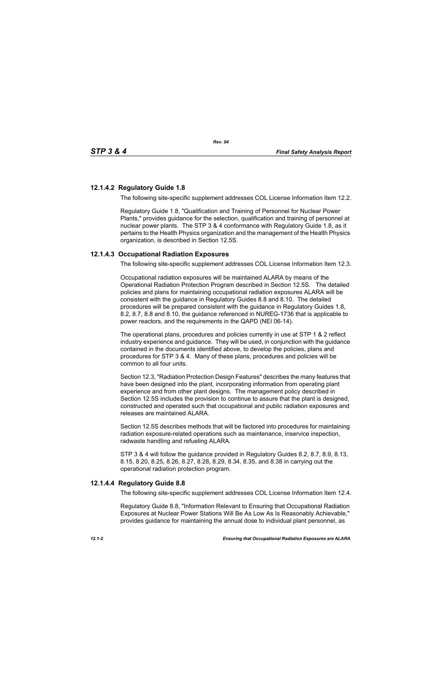## **12.1.4.2 Regulatory Guide 1.8**

The following site-specific supplement addresses COL License Information Item 12.2.

*Rev. 04*

Regulatory Guide 1.8, "Qualification and Training of Personnel for Nuclear Power Plants," provides guidance for the selection, qualification and training of personnel at nuclear power plants. The STP 3 & 4 conformance with Regulatory Guide 1.8, as it pertains to the Health Physics organization and the management of the Health Physics organization, is described in Section 12.5S.

# **12.1.4.3 Occupational Radiation Exposures**

The following site-specific supplement addresses COL License Information Item 12.3.

Occupational radiation exposures will be maintained ALARA by means of the Operational Radiation Protection Program described in Section 12.5S. The detailed policies and plans for maintaining occupational radiation exposures ALARA will be consistent with the guidance in Regulatory Guides 8.8 and 8.10. The detailed procedures will be prepared consistent with the guidance in Regulatory Guides 1.8, 8.2, 8.7, 8.8 and 8.10, the guidance referenced in NUREG-1736 that is applicable to power reactors, and the requirements in the QAPD (NEI 06-14).

The operational plans, procedures and policies currently in use at STP 1 & 2 reflect industry experience and guidance. They will be used, in conjunction with the guidance contained in the documents identified above, to develop the policies, plans and procedures for STP 3 & 4. Many of these plans, procedures and policies will be common to all four units.

Section 12.3, "Radiation Protection Design Features" describes the many features that have been designed into the plant, incorporating information from operating plant experience and from other plant designs. The management policy described in Section 12.5S includes the provision to continue to assure that the plant is designed, constructed and operated such that occupational and public radiation exposures and releases are maintained ALARA

Section 12.5S describes methods that will be factored into procedures for maintaining radiation exposure-related operations such as maintenance, inservice inspection, radwaste handling and refueling ALARA.

STP 3 & 4 will follow the guidance provided in Regulatory Guides 8.2, 8.7, 8.9, 8.13, 8.15, 8.20, 8.25, 8.26, 8.27, 8.28, 8.29, 8.34, 8.35, and 8.38 in carrying out the operational radiation protection program.

## **12.1.4.4 Regulatory Guide 8.8**

The following site-specific supplement addresses COL License Information Item 12.4.

Regulatory Guide 8.8, "Information Relevant to Ensuring that Occupational Radiation Exposures at Nuclear Power Stations Will Be As Low As Is Reasonably Achievable," provides guidance for maintaining the annual dose to individual plant personnel, as